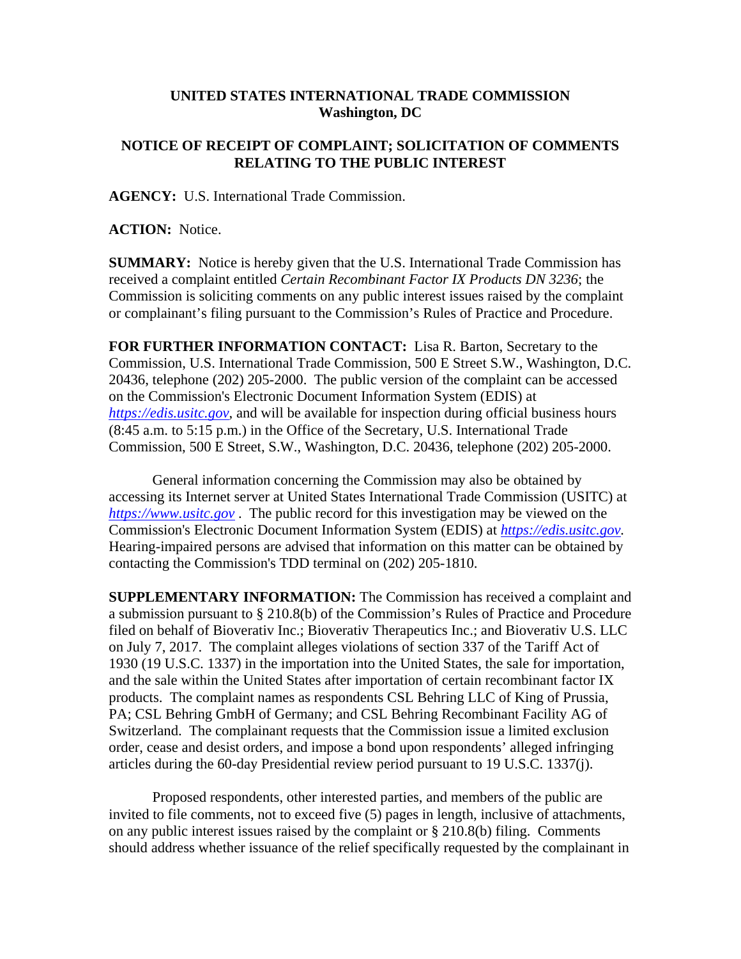## **UNITED STATES INTERNATIONAL TRADE COMMISSION Washington, DC**

## **NOTICE OF RECEIPT OF COMPLAINT; SOLICITATION OF COMMENTS RELATING TO THE PUBLIC INTEREST**

**AGENCY:** U.S. International Trade Commission.

**ACTION:** Notice.

**SUMMARY:** Notice is hereby given that the U.S. International Trade Commission has received a complaint entitled *Certain Recombinant Factor IX Products DN 3236*; the Commission is soliciting comments on any public interest issues raised by the complaint or complainant's filing pursuant to the Commission's Rules of Practice and Procedure.

**FOR FURTHER INFORMATION CONTACT:** Lisa R. Barton, Secretary to the Commission, U.S. International Trade Commission, 500 E Street S.W., Washington, D.C. 20436, telephone (202) 205-2000. The public version of the complaint can be accessed on the Commission's Electronic Document Information System (EDIS) at *https://edis.usitc.gov*, and will be available for inspection during official business hours (8:45 a.m. to 5:15 p.m.) in the Office of the Secretary, U.S. International Trade Commission, 500 E Street, S.W., Washington, D.C. 20436, telephone (202) 205-2000.

General information concerning the Commission may also be obtained by accessing its Internet server at United States International Trade Commission (USITC) at *https://www.usitc.gov* . The public record for this investigation may be viewed on the Commission's Electronic Document Information System (EDIS) at *https://edis.usitc.gov.* Hearing-impaired persons are advised that information on this matter can be obtained by contacting the Commission's TDD terminal on (202) 205-1810.

**SUPPLEMENTARY INFORMATION:** The Commission has received a complaint and a submission pursuant to § 210.8(b) of the Commission's Rules of Practice and Procedure filed on behalf of Bioverativ Inc.; Bioverativ Therapeutics Inc.; and Bioverativ U.S. LLC on July 7, 2017. The complaint alleges violations of section 337 of the Tariff Act of 1930 (19 U.S.C. 1337) in the importation into the United States, the sale for importation, and the sale within the United States after importation of certain recombinant factor IX products. The complaint names as respondents CSL Behring LLC of King of Prussia, PA; CSL Behring GmbH of Germany; and CSL Behring Recombinant Facility AG of Switzerland. The complainant requests that the Commission issue a limited exclusion order, cease and desist orders, and impose a bond upon respondents' alleged infringing articles during the 60-day Presidential review period pursuant to 19 U.S.C. 1337(j).

Proposed respondents, other interested parties, and members of the public are invited to file comments, not to exceed five (5) pages in length, inclusive of attachments, on any public interest issues raised by the complaint or § 210.8(b) filing. Comments should address whether issuance of the relief specifically requested by the complainant in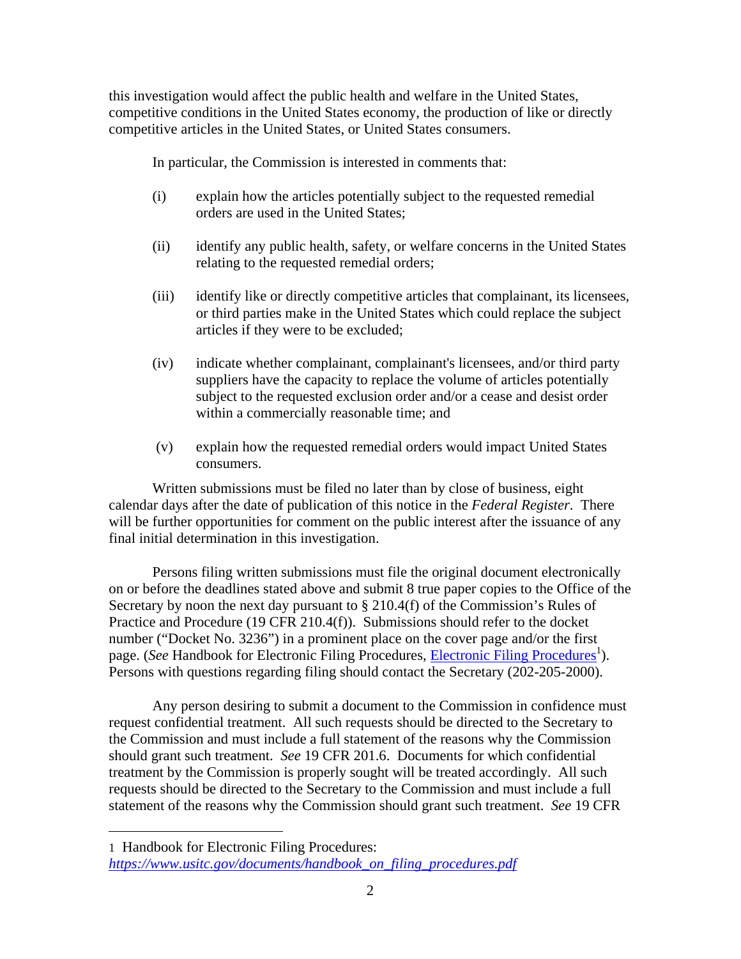this investigation would affect the public health and welfare in the United States, competitive conditions in the United States economy, the production of like or directly competitive articles in the United States, or United States consumers.

In particular, the Commission is interested in comments that:

- (i) explain how the articles potentially subject to the requested remedial orders are used in the United States;
- (ii) identify any public health, safety, or welfare concerns in the United States relating to the requested remedial orders;
- (iii) identify like or directly competitive articles that complainant, its licensees, or third parties make in the United States which could replace the subject articles if they were to be excluded;
- (iv) indicate whether complainant, complainant's licensees, and/or third party suppliers have the capacity to replace the volume of articles potentially subject to the requested exclusion order and/or a cease and desist order within a commercially reasonable time; and
- (v) explain how the requested remedial orders would impact United States consumers.

Written submissions must be filed no later than by close of business, eight calendar days after the date of publication of this notice in the *Federal Register*. There will be further opportunities for comment on the public interest after the issuance of any final initial determination in this investigation.

Persons filing written submissions must file the original document electronically on or before the deadlines stated above and submit 8 true paper copies to the Office of the Secretary by noon the next day pursuant to  $\S 210.4(f)$  of the Commission's Rules of Practice and Procedure (19 CFR 210.4(f)). Submissions should refer to the docket number ("Docket No. 3236") in a prominent place on the cover page and/or the first page. (*See* Handbook for Electronic Filing Procedures, *Electronic Filing Procedures*<sup>1</sup>). Persons with questions regarding filing should contact the Secretary (202-205-2000).

Any person desiring to submit a document to the Commission in confidence must request confidential treatment. All such requests should be directed to the Secretary to the Commission and must include a full statement of the reasons why the Commission should grant such treatment. *See* 19 CFR 201.6. Documents for which confidential treatment by the Commission is properly sought will be treated accordingly. All such requests should be directed to the Secretary to the Commission and must include a full statement of the reasons why the Commission should grant such treatment. *See* 19 CFR

 $\overline{a}$ 

<sup>1</sup> Handbook for Electronic Filing Procedures: *https://www.usitc.gov/documents/handbook\_on\_filing\_procedures.pdf*